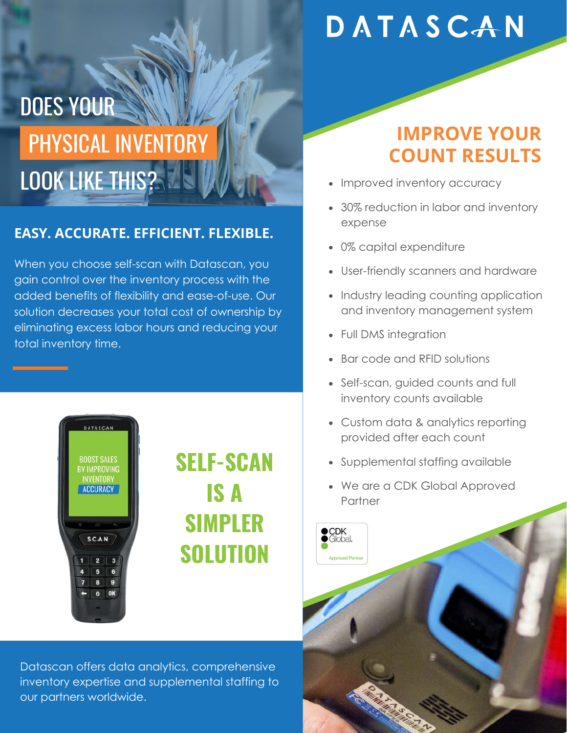## DATASCAN

# PHYSICAL INVENTORY DOES YOUR LOOK LIKE THIS?

#### **EASY. ACCURATE. EFFICIENT. FLEXIBLE.**

When you choose self-scan with Datascan, you gain control over the inventory process with the added benefits of flexibility and ease-of-use. Our solution decreases your total cost of ownership by eliminating excess labor hours and reducing your total inventory time.



## **SELF-SCAN IS A SIMPLER SOLUTION**

Datascan offers data analytics, comprehensive inventory expertise and supplemental staffing to our partners worldwide.

### **IMPROVE YOUR COUNT RESULTS**

- $\bullet$ Improved inventory accuracy
- 30% reduction in labor and inventory expense
- 0% capital expenditure  $\bullet$
- User-friendly scanners and hardware
- Industry leading counting application and inventory management system
- Full DMS integration  $\bullet$
- Bar code and RFID solutions
- Self-scan, guided counts and full inventory counts available
- Custom data & analytics reporting provided after each count
- Supplemental staffing available
- We are a CDK Global Approved Partner